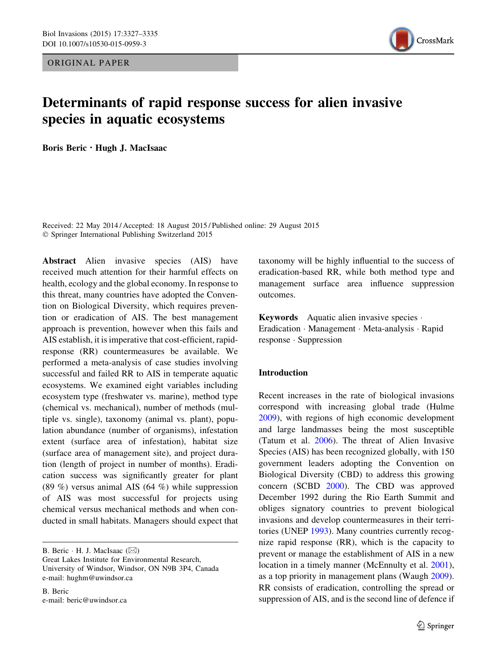ORIGINAL PAPER



# Determinants of rapid response success for alien invasive species in aquatic ecosystems

Boris Beric . Hugh J. MacIsaac

Received: 22 May 2014 / Accepted: 18 August 2015 / Published online: 29 August 2015 - Springer International Publishing Switzerland 2015

Abstract Alien invasive species (AIS) have received much attention for their harmful effects on health, ecology and the global economy. In response to this threat, many countries have adopted the Convention on Biological Diversity, which requires prevention or eradication of AIS. The best management approach is prevention, however when this fails and AIS establish, it is imperative that cost-efficient, rapidresponse (RR) countermeasures be available. We performed a meta-analysis of case studies involving successful and failed RR to AIS in temperate aquatic ecosystems. We examined eight variables including ecosystem type (freshwater vs. marine), method type (chemical vs. mechanical), number of methods (multiple vs. single), taxonomy (animal vs. plant), population abundance (number of organisms), infestation extent (surface area of infestation), habitat size (surface area of management site), and project duration (length of project in number of months). Eradication success was significantly greater for plant (89 %) versus animal AIS (64 %) while suppression of AIS was most successful for projects using chemical versus mechanical methods and when conducted in small habitats. Managers should expect that

B. Beric ⋅ H. J. MacIsaac (⊠)

B. Beric e-mail: beric@uwindsor.ca taxonomy will be highly influential to the success of eradication-based RR, while both method type and management surface area influence suppression outcomes.

Keywords Aquatic alien invasive species - Eradication - Management - Meta-analysis - Rapid response - Suppression

#### Introduction

Recent increases in the rate of biological invasions correspond with increasing global trade (Hulme [2009\)](#page-7-0), with regions of high economic development and large landmasses being the most susceptible (Tatum et al. [2006](#page-8-0)). The threat of Alien Invasive Species (AIS) has been recognized globally, with 150 government leaders adopting the Convention on Biological Diversity (CBD) to address this growing concern (SCBD [2000](#page-8-0)). The CBD was approved December 1992 during the Rio Earth Summit and obliges signatory countries to prevent biological invasions and develop countermeasures in their territories (UNEP [1993\)](#page-8-0). Many countries currently recognize rapid response (RR), which is the capacity to prevent or manage the establishment of AIS in a new location in a timely manner (McEnnulty et al. [2001](#page-7-0)), as a top priority in management plans (Waugh [2009](#page-8-0)). RR consists of eradication, controlling the spread or suppression of AIS, and is the second line of defence if

Great Lakes Institute for Environmental Research, University of Windsor, Windsor, ON N9B 3P4, Canada e-mail: hughm@uwindsor.ca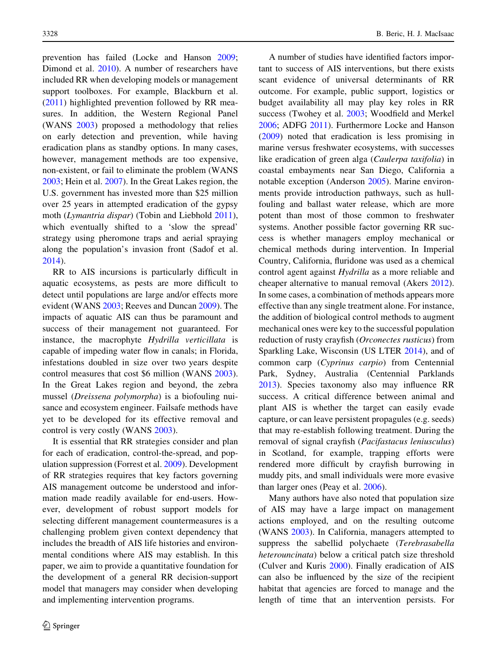prevention has failed (Locke and Hanson [2009](#page-7-0); Dimond et al. [2010\)](#page-7-0). A number of researchers have included RR when developing models or management support toolboxes. For example, Blackburn et al. [\(2011](#page-7-0)) highlighted prevention followed by RR measures. In addition, the Western Regional Panel (WANS [2003](#page-8-0)) proposed a methodology that relies on early detection and prevention, while having eradication plans as standby options. In many cases, however, management methods are too expensive, non-existent, or fail to eliminate the problem (WANS [2003;](#page-8-0) Hein et al. [2007](#page-7-0)). In the Great Lakes region, the U.S. government has invested more than \$25 million over 25 years in attempted eradication of the gypsy moth (Lymantria dispar) (Tobin and Liebhold [2011](#page-8-0)), which eventually shifted to a 'slow the spread' strategy using pheromone traps and aerial spraying along the population's invasion front (Sadof et al. [2014\)](#page-8-0).

RR to AIS incursions is particularly difficult in aquatic ecosystems, as pests are more difficult to detect until populations are large and/or effects more evident (WANS [2003](#page-8-0); Reeves and Duncan [2009\)](#page-8-0). The impacts of aquatic AIS can thus be paramount and success of their management not guaranteed. For instance, the macrophyte Hydrilla verticillata is capable of impeding water flow in canals; in Florida, infestations doubled in size over two years despite control measures that cost \$6 million (WANS [2003](#page-8-0)). In the Great Lakes region and beyond, the zebra mussel (Dreissena polymorpha) is a biofouling nuisance and ecosystem engineer. Failsafe methods have yet to be developed for its effective removal and control is very costly (WANS [2003](#page-8-0)).

It is essential that RR strategies consider and plan for each of eradication, control-the-spread, and population suppression (Forrest et al. [2009](#page-7-0)). Development of RR strategies requires that key factors governing AIS management outcome be understood and information made readily available for end-users. However, development of robust support models for selecting different management countermeasures is a challenging problem given context dependency that includes the breadth of AIS life histories and environmental conditions where AIS may establish. In this paper, we aim to provide a quantitative foundation for the development of a general RR decision-support model that managers may consider when developing and implementing intervention programs.

A number of studies have identified factors important to success of AIS interventions, but there exists scant evidence of universal determinants of RR outcome. For example, public support, logistics or budget availability all may play key roles in RR success (Twohey et al. [2003;](#page-8-0) Woodfield and Merkel [2006;](#page-8-0) ADFG [2011](#page-7-0)). Furthermore Locke and Hanson [\(2009](#page-7-0)) noted that eradication is less promising in marine versus freshwater ecosystems, with successes like eradication of green alga (Caulerpa taxifolia) in coastal embayments near San Diego, California a notable exception (Anderson [2005](#page-7-0)). Marine environments provide introduction pathways, such as hullfouling and ballast water release, which are more potent than most of those common to freshwater systems. Another possible factor governing RR success is whether managers employ mechanical or chemical methods during intervention. In Imperial Country, California, fluridone was used as a chemical control agent against Hydrilla as a more reliable and cheaper alternative to manual removal (Akers [2012](#page-7-0)). In some cases, a combination of methods appears more effective than any single treatment alone. For instance, the addition of biological control methods to augment mechanical ones were key to the successful population reduction of rusty crayfish (Orconectes rusticus) from Sparkling Lake, Wisconsin (US LTER [2014](#page-8-0)), and of common carp (Cyprinus carpio) from Centennial Park, Sydney, Australia (Centennial Parklands [2013\)](#page-7-0). Species taxonomy also may influence RR success. A critical difference between animal and plant AIS is whether the target can easily evade capture, or can leave persistent propagules (e.g. seeds) that may re-establish following treatment. During the removal of signal crayfish (Pacifastacus leniusculus) in Scotland, for example, trapping efforts were rendered more difficult by crayfish burrowing in muddy pits, and small individuals were more evasive than larger ones (Peay et al. [2006](#page-8-0)).

Many authors have also noted that population size of AIS may have a large impact on management actions employed, and on the resulting outcome (WANS [2003\)](#page-8-0). In California, managers attempted to suppress the sabellid polychaete (Terebrasabella heterouncinata) below a critical patch size threshold (Culver and Kuris [2000\)](#page-7-0). Finally eradication of AIS can also be influenced by the size of the recipient habitat that agencies are forced to manage and the length of time that an intervention persists. For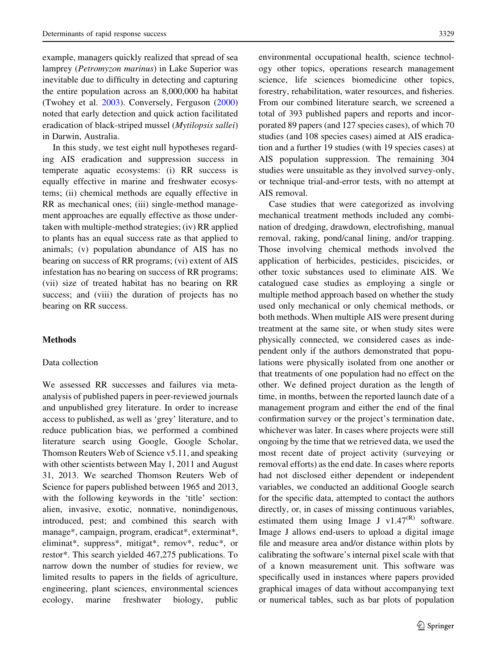example, managers quickly realized that spread of sea lamprey (Petromyzon marinus) in Lake Superior was inevitable due to difficulty in detecting and capturing the entire population across an 8,000,000 ha habitat (Twohey et al. [2003](#page-8-0)). Conversely, Ferguson ([2000\)](#page-7-0) noted that early detection and quick action facilitated eradication of black-striped mussel (Mytilopsis sallei) in Darwin, Australia.

In this study, we test eight null hypotheses regarding AIS eradication and suppression success in temperate aquatic ecosystems: (i) RR success is equally effective in marine and freshwater ecosystems; (ii) chemical methods are equally effective in RR as mechanical ones; (iii) single-method management approaches are equally effective as those undertaken with multiple-method strategies; (iv) RR applied to plants has an equal success rate as that applied to animals; (v) population abundance of AIS has no bearing on success of RR programs; (vi) extent of AIS infestation has no bearing on success of RR programs; (vii) size of treated habitat has no bearing on RR success; and (viii) the duration of projects has no bearing on RR success.

## Methods

#### Data collection

We assessed RR successes and failures via metaanalysis of published papers in peer-reviewed journals and unpublished grey literature. In order to increase access to published, as well as 'grey' literature, and to reduce publication bias, we performed a combined literature search using Google, Google Scholar, Thomson Reuters Web of Science v5.11, and speaking with other scientists between May 1, 2011 and August 31, 2013. We searched Thomson Reuters Web of Science for papers published between 1965 and 2013, with the following keywords in the 'title' section: alien, invasive, exotic, nonnative, nonindigenous, introduced, pest; and combined this search with manage\*, campaign, program, eradicat\*, exterminat\*, eliminat\*, suppress\*, mitigat\*, remov\*, reduc\*, or restor\*. This search yielded 467,275 publications. To narrow down the number of studies for review, we limited results to papers in the fields of agriculture, engineering, plant sciences, environmental sciences ecology, marine freshwater biology, public environmental occupational health, science technology other topics, operations research management science, life sciences biomedicine other topics, forestry, rehabilitation, water resources, and fisheries. From our combined literature search, we screened a total of 393 published papers and reports and incorporated 89 papers (and 127 species cases), of which 70 studies (and 108 species cases) aimed at AIS eradication and a further 19 studies (with 19 species cases) at AIS population suppression. The remaining 304 studies were unsuitable as they involved survey-only, or technique trial-and-error tests, with no attempt at AIS removal.

Case studies that were categorized as involving mechanical treatment methods included any combination of dredging, drawdown, electrofishing, manual removal, raking, pond/canal lining, and/or trapping. Those involving chemical methods involved the application of herbicides, pesticides, piscicides, or other toxic substances used to eliminate AIS. We catalogued case studies as employing a single or multiple method approach based on whether the study used only mechanical or only chemical methods, or both methods. When multiple AIS were present during treatment at the same site, or when study sites were physically connected, we considered cases as independent only if the authors demonstrated that populations were physically isolated from one another or that treatments of one population had no effect on the other. We defined project duration as the length of time, in months, between the reported launch date of a management program and either the end of the final confirmation survey or the project's termination date, whichever was later. In cases where projects were still ongoing by the time that we retrieved data, we used the most recent date of project activity (surveying or removal efforts) as the end date. In cases where reports had not disclosed either dependent or independent variables, we conducted an additional Google search for the specific data, attempted to contact the authors directly, or, in cases of missing continuous variables, estimated them using Image J v1.47 $(R)$  software. Image J allows end-users to upload a digital image file and measure area and/or distance within plots by calibrating the software's internal pixel scale with that of a known measurement unit. This software was specifically used in instances where papers provided graphical images of data without accompanying text or numerical tables, such as bar plots of population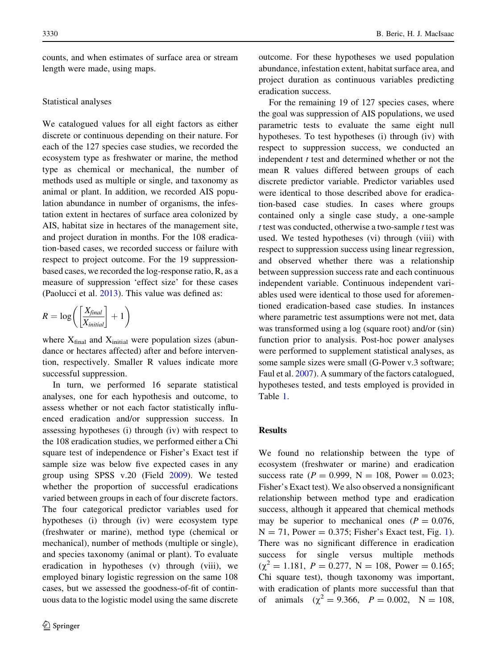counts, and when estimates of surface area or stream length were made, using maps.

#### Statistical analyses

We catalogued values for all eight factors as either discrete or continuous depending on their nature. For each of the 127 species case studies, we recorded the ecosystem type as freshwater or marine, the method type as chemical or mechanical, the number of methods used as multiple or single, and taxonomy as animal or plant. In addition, we recorded AIS population abundance in number of organisms, the infestation extent in hectares of surface area colonized by AIS, habitat size in hectares of the management site, and project duration in months. For the 108 eradication-based cases, we recorded success or failure with respect to project outcome. For the 19 suppressionbased cases, we recorded the log-response ratio, R, as a measure of suppression 'effect size' for these cases (Paolucci et al. [2013\)](#page-8-0). This value was defined as:

$$
R = \log \left( \left[ \frac{X_{\text{final}}}{X_{\text{initial}}} \right] + 1 \right)
$$

where  $X_{final}$  and  $X_{initial}$  were population sizes (abundance or hectares affected) after and before intervention, respectively. Smaller R values indicate more successful suppression.

In turn, we performed 16 separate statistical analyses, one for each hypothesis and outcome, to assess whether or not each factor statistically influenced eradication and/or suppression success. In assessing hypotheses (i) through (iv) with respect to the 108 eradication studies, we performed either a Chi square test of independence or Fisher's Exact test if sample size was below five expected cases in any group using SPSS v.20 (Field [2009](#page-7-0)). We tested whether the proportion of successful eradications varied between groups in each of four discrete factors. The four categorical predictor variables used for hypotheses (i) through (iv) were ecosystem type (freshwater or marine), method type (chemical or mechanical), number of methods (multiple or single), and species taxonomy (animal or plant). To evaluate eradication in hypotheses (v) through (viii), we employed binary logistic regression on the same 108 cases, but we assessed the goodness-of-fit of continuous data to the logistic model using the same discrete

outcome. For these hypotheses we used population abundance, infestation extent, habitat surface area, and project duration as continuous variables predicting eradication success.

For the remaining 19 of 127 species cases, where the goal was suppression of AIS populations, we used parametric tests to evaluate the same eight null hypotheses. To test hypotheses (i) through (iv) with respect to suppression success, we conducted an independent  $t$  test and determined whether or not the mean R values differed between groups of each discrete predictor variable. Predictor variables used were identical to those described above for eradication-based case studies. In cases where groups contained only a single case study, a one-sample  $t$  test was conducted, otherwise a two-sample  $t$  test was used. We tested hypotheses (vi) through (viii) with respect to suppression success using linear regression, and observed whether there was a relationship between suppression success rate and each continuous independent variable. Continuous independent variables used were identical to those used for aforementioned eradication-based case studies. In instances where parametric test assumptions were not met, data was transformed using a log (square root) and/or (sin) function prior to analysis. Post-hoc power analyses were performed to supplement statistical analyses, as some sample sizes were small (G-Power v.3 software; Faul et al. [2007](#page-7-0)). A summary of the factors catalogued, hypotheses tested, and tests employed is provided in Table [1](#page-4-0).

#### Results

We found no relationship between the type of ecosystem (freshwater or marine) and eradication success rate ( $P = 0.999$ , N = 108, Power = 0.023; Fisher's Exact test). We also observed a nonsignificant relationship between method type and eradication success, although it appeared that chemical methods may be superior to mechanical ones  $(P = 0.076,$  $N = 71$  $N = 71$ , Power = 0.375; Fisher's Exact test, Fig. 1). There was no significant difference in eradication success for single versus multiple methods  $(\chi^2 = 1.181, P = 0.277, N = 108, Power = 0.165;$ Chi square test), though taxonomy was important, with eradication of plants more successful than that of animals  $(\chi^2 = 9.366, P = 0.002, N = 108,$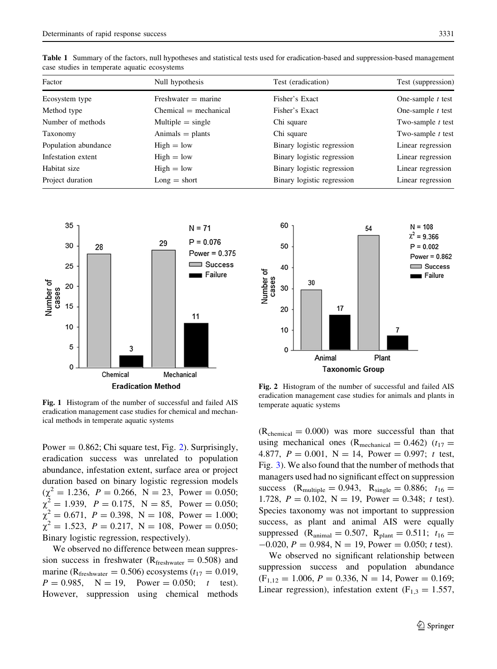| Factor               | Null hypothesis          | Test (eradication)         | Test (suppression)  |
|----------------------|--------------------------|----------------------------|---------------------|
| Ecosystem type       | $F$ reshwater $=$ marine | Fisher's Exact             | One-sample $t$ test |
| Method type          | $Chemical = mechanical$  | Fisher's Exact             | One-sample $t$ test |
| Number of methods    | $Multiple = single$      | Chi square                 | Two-sample $t$ test |
| Taxonomy             | Animals $=$ plants       | Chi square                 | Two-sample $t$ test |
| Population abundance | $High = low$             | Binary logistic regression | Linear regression   |
| Infestation extent   | $High = low$             | Binary logistic regression | Linear regression   |
| Habitat size         | $High = low$             | Binary logistic regression | Linear regression   |
| Project duration     | $Long = short$           | Binary logistic regression | Linear regression   |

<span id="page-4-0"></span>Table 1 Summary of the factors, null hypotheses and statistical tests used for eradication-based and suppression-based management case studies in temperate aquatic ecosystems



Fig. 1 Histogram of the number of successful and failed AIS eradication management case studies for chemical and mechanical methods in temperate aquatic systems

Power  $= 0.862$ ; Chi square test, Fig. 2). Surprisingly, eradication success was unrelated to population abundance, infestation extent, surface area or project duration based on binary logistic regression models  $(\chi^2 = 1.236, \ P = 0.266, \ N = 23, \ Power = 0.050;$  $\chi^2 = 1.939$ ,  $P = 0.175$ ,  $N = 85$ , Power = 0.050;  $\chi^2 = 0.671$ ,  $P = 0.398$ ,  $N = 108$ , Power = 1.000;  $\chi^2 = 1.523$ ,  $P = 0.217$ ,  $N = 108$ , Power = 0.050; Binary logistic regression, respectively).

We observed no difference between mean suppression success in freshwater ( $R_{\text{freshwater}} = 0.508$ ) and marine ( $R_{\text{freshwater}} = 0.506$ ) ecosystems ( $t_{17} = 0.019$ ,  $P = 0.985$ ,  $N = 19$ , Power = 0.050; t test). However, suppression using chemical methods



Fig. 2 Histogram of the number of successful and failed AIS eradication management case studies for animals and plants in temperate aquatic systems

 $(R_{chemical} = 0.000)$  was more successful than that using mechanical ones ( $R_{\text{mechanical}} = 0.462$ ) ( $t_{17} =$ 4.877,  $P = 0.001$ ,  $N = 14$ , Power = 0.997; t test, Fig. [3\)](#page-5-0). We also found that the number of methods that managers used had no significant effect on suppression success  $(R_{\text{multiple}} = 0.943, R_{\text{single}} = 0.886; t_{16} =$ 1.728,  $P = 0.102$ ,  $N = 19$ , Power = 0.348; t test). Species taxonomy was not important to suppression success, as plant and animal AIS were equally suppressed ( $R_{\text{animal}} = 0.507$ ,  $R_{\text{plant}} = 0.511$ ;  $t_{16} =$  $-0.020$ ,  $P = 0.984$ ,  $N = 19$ , Power = 0.050; t test).

We observed no significant relationship between suppression success and population abundance  $(F<sub>1.12</sub> = 1.006, P = 0.336, N = 14, Power = 0.169;$ Linear regression), infestation extent ( $F_{1,3} = 1.557$ ,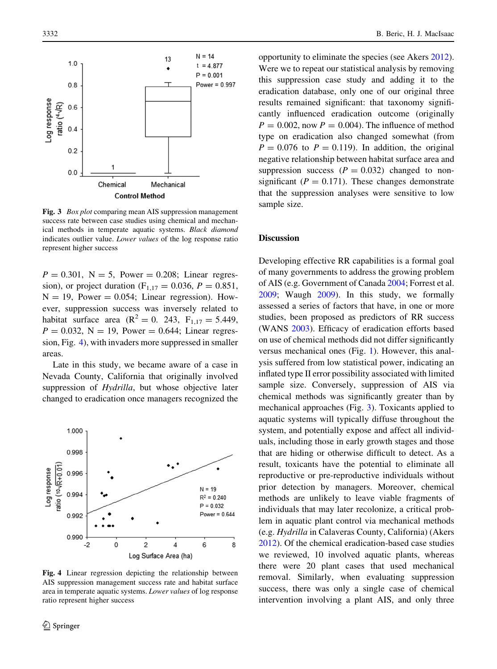<span id="page-5-0"></span>

Fig. 3 *Box plot* comparing mean AIS suppression management success rate between case studies using chemical and mechanical methods in temperate aquatic systems. Black diamond indicates outlier value. Lower values of the log response ratio represent higher success

 $P = 0.301$ , N = 5, Power = 0.208; Linear regression), or project duration ( $F_{1,17} = 0.036$ ,  $P = 0.851$ ,  $N = 19$ , Power = 0.054; Linear regression). However, suppression success was inversely related to habitat surface area  $(R^2 = 0.243, F_{1,17} = 5.449,$  $P = 0.032$ , N = 19, Power = 0.644; Linear regression, Fig. 4), with invaders more suppressed in smaller areas.

Late in this study, we became aware of a case in Nevada County, California that originally involved suppression of *Hydrilla*, but whose objective later changed to eradication once managers recognized the



Fig. 4 Linear regression depicting the relationship between AIS suppression management success rate and habitat surface area in temperate aquatic systems. Lower values of log response ratio represent higher success

opportunity to eliminate the species (see Akers [2012](#page-7-0)). Were we to repeat our statistical analysis by removing this suppression case study and adding it to the eradication database, only one of our original three results remained significant: that taxonomy significantly influenced eradication outcome (originally  $P = 0.002$ , now  $P = 0.004$ ). The influence of method type on eradication also changed somewhat (from  $P = 0.076$  to  $P = 0.119$ . In addition, the original negative relationship between habitat surface area and suppression success  $(P = 0.032)$  changed to nonsignificant ( $P = 0.171$ ). These changes demonstrate that the suppression analyses were sensitive to low sample size.

#### **Discussion**

Developing effective RR capabilities is a formal goal of many governments to address the growing problem of AIS (e.g. Government of Canada [2004;](#page-7-0) Forrest et al. [2009;](#page-7-0) Waugh [2009](#page-8-0)). In this study, we formally assessed a series of factors that have, in one or more studies, been proposed as predictors of RR success (WANS [2003](#page-8-0)). Efficacy of eradication efforts based on use of chemical methods did not differ significantly versus mechanical ones (Fig. [1](#page-4-0)). However, this analysis suffered from low statistical power, indicating an inflated type II error possibility associated with limited sample size. Conversely, suppression of AIS via chemical methods was significantly greater than by mechanical approaches (Fig. 3). Toxicants applied to aquatic systems will typically diffuse throughout the system, and potentially expose and affect all individuals, including those in early growth stages and those that are hiding or otherwise difficult to detect. As a result, toxicants have the potential to eliminate all reproductive or pre-reproductive individuals without prior detection by managers. Moreover, chemical methods are unlikely to leave viable fragments of individuals that may later recolonize, a critical problem in aquatic plant control via mechanical methods (e.g. Hydrilla in Calaveras County, California) (Akers [2012\)](#page-7-0). Of the chemical eradication-based case studies we reviewed, 10 involved aquatic plants, whereas there were 20 plant cases that used mechanical removal. Similarly, when evaluating suppression success, there was only a single case of chemical intervention involving a plant AIS, and only three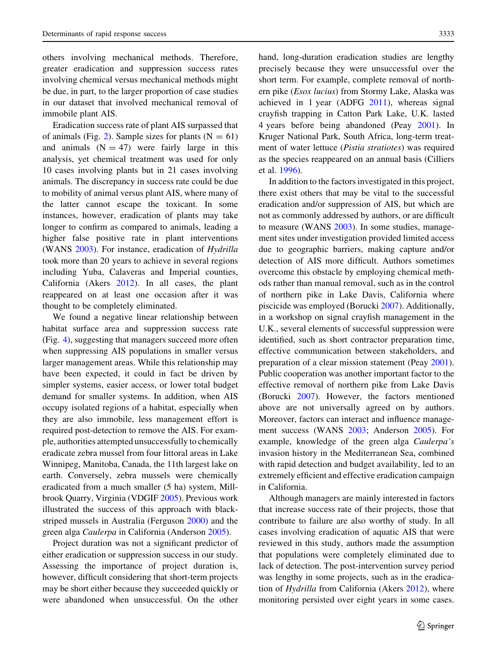others involving mechanical methods. Therefore, greater eradication and suppression success rates involving chemical versus mechanical methods might be due, in part, to the larger proportion of case studies in our dataset that involved mechanical removal of immobile plant AIS.

Eradication success rate of plant AIS surpassed that of animals (Fig. [2](#page-4-0)). Sample sizes for plants ( $N = 61$ ) and animals  $(N = 47)$  were fairly large in this analysis, yet chemical treatment was used for only 10 cases involving plants but in 21 cases involving animals. The discrepancy in success rate could be due to mobility of animal versus plant AIS, where many of the latter cannot escape the toxicant. In some instances, however, eradication of plants may take longer to confirm as compared to animals, leading a higher false positive rate in plant interventions (WANS [2003\)](#page-8-0). For instance, eradication of Hydrilla took more than 20 years to achieve in several regions including Yuba, Calaveras and Imperial counties, California (Akers [2012](#page-7-0)). In all cases, the plant reappeared on at least one occasion after it was thought to be completely eliminated.

We found a negative linear relationship between habitat surface area and suppression success rate (Fig. [4](#page-5-0)), suggesting that managers succeed more often when suppressing AIS populations in smaller versus larger management areas. While this relationship may have been expected, it could in fact be driven by simpler systems, easier access, or lower total budget demand for smaller systems. In addition, when AIS occupy isolated regions of a habitat, especially when they are also immobile, less management effort is required post-detection to remove the AIS. For example, authorities attempted unsuccessfully to chemically eradicate zebra mussel from four littoral areas in Lake Winnipeg, Manitoba, Canada, the 11th largest lake on earth. Conversely, zebra mussels were chemically eradicated from a much smaller (5 ha) system, Millbrook Quarry, Virginia (VDGIF [2005\)](#page-8-0). Previous work illustrated the success of this approach with blackstriped mussels in Australia (Ferguson [2000\)](#page-7-0) and the green alga Caulerpa in California (Anderson [2005\)](#page-7-0).

Project duration was not a significant predictor of either eradication or suppression success in our study. Assessing the importance of project duration is, however, difficult considering that short-term projects may be short either because they succeeded quickly or were abandoned when unsuccessful. On the other hand, long-duration eradication studies are lengthy precisely because they were unsuccessful over the short term. For example, complete removal of northern pike (Esox lucius) from Stormy Lake, Alaska was achieved in 1 year (ADFG [2011\)](#page-7-0), whereas signal crayfish trapping in Catton Park Lake, U.K. lasted 4 years before being abandoned (Peay [2001\)](#page-8-0). In Kruger National Park, South Africa, long-term treatment of water lettuce (Pistia stratiotes) was required as the species reappeared on an annual basis (Cilliers et al. [1996](#page-7-0)).

In addition to the factors investigated in this project, there exist others that may be vital to the successful eradication and/or suppression of AIS, but which are not as commonly addressed by authors, or are difficult to measure (WANS [2003\)](#page-8-0). In some studies, management sites under investigation provided limited access due to geographic barriers, making capture and/or detection of AIS more difficult. Authors sometimes overcome this obstacle by employing chemical methods rather than manual removal, such as in the control of northern pike in Lake Davis, California where piscicide was employed (Borucki [2007](#page-7-0)). Additionally, in a workshop on signal crayfish management in the U.K., several elements of successful suppression were identified, such as short contractor preparation time, effective communication between stakeholders, and preparation of a clear mission statement (Peay [2001](#page-8-0)). Public cooperation was another important factor to the effective removal of northern pike from Lake Davis (Borucki [2007](#page-7-0)). However, the factors mentioned above are not universally agreed on by authors. Moreover, factors can interact and influence management success (WANS [2003](#page-8-0); Anderson [2005](#page-7-0)). For example, knowledge of the green alga Caulerpa's invasion history in the Mediterranean Sea, combined with rapid detection and budget availability, led to an extremely efficient and effective eradication campaign in California.

Although managers are mainly interested in factors that increase success rate of their projects, those that contribute to failure are also worthy of study. In all cases involving eradication of aquatic AIS that were reviewed in this study, authors made the assumption that populations were completely eliminated due to lack of detection. The post-intervention survey period was lengthy in some projects, such as in the eradication of Hydrilla from California (Akers [2012](#page-7-0)), where monitoring persisted over eight years in some cases.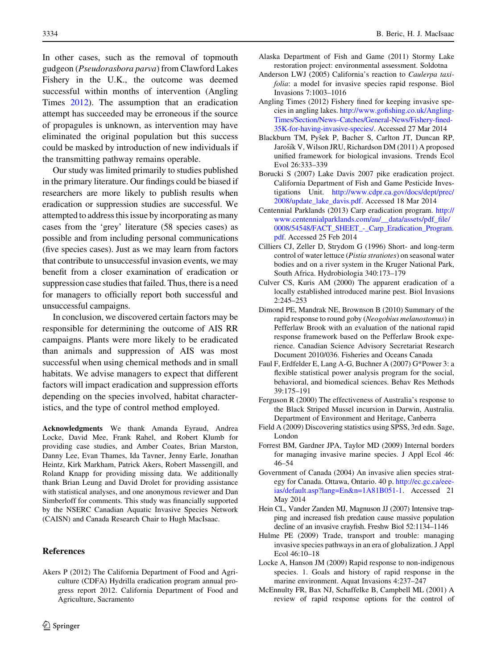<span id="page-7-0"></span>In other cases, such as the removal of topmouth gudgeon (Pseudorasbora parva) from Clawford Lakes Fishery in the U.K., the outcome was deemed successful within months of intervention (Angling Times 2012). The assumption that an eradication attempt has succeeded may be erroneous if the source of propagules is unknown, as intervention may have eliminated the original population but this success could be masked by introduction of new individuals if the transmitting pathway remains operable.

Our study was limited primarily to studies published in the primary literature. Our findings could be biased if researchers are more likely to publish results when eradication or suppression studies are successful. We attempted to address this issue by incorporating as many cases from the 'grey' literature (58 species cases) as possible and from including personal communications (five species cases). Just as we may learn from factors that contribute to unsuccessful invasion events, we may benefit from a closer examination of eradication or suppression case studies that failed. Thus, there is a need for managers to officially report both successful and unsuccessful campaigns.

In conclusion, we discovered certain factors may be responsible for determining the outcome of AIS RR campaigns. Plants were more likely to be eradicated than animals and suppression of AIS was most successful when using chemical methods and in small habitats. We advise managers to expect that different factors will impact eradication and suppression efforts depending on the species involved, habitat characteristics, and the type of control method employed.

Acknowledgments We thank Amanda Eyraud, Andrea Locke, David Mee, Frank Rahel, and Robert Klumb for providing case studies, and Amber Coates, Brian Marston, Danny Lee, Evan Thames, Ida Tavner, Jenny Earle, Jonathan Heintz, Kirk Markham, Patrick Akers, Robert Massengill, and Roland Knapp for providing missing data. We additionally thank Brian Leung and David Drolet for providing assistance with statistical analyses, and one anonymous reviewer and Dan Simberloff for comments. This study was financially supported by the NSERC Canadian Aquatic Invasive Species Network (CAISN) and Canada Research Chair to Hugh MacIsaac.

## References

Akers P (2012) The California Department of Food and Agriculture (CDFA) Hydrilla eradication program annual progress report 2012. California Department of Food and Agriculture, Sacramento

- Alaska Department of Fish and Game (2011) Stormy Lake restoration project: environmental assessment. Soldotna
- Anderson LWJ (2005) California's reaction to Caulerpa taxifolia: a model for invasive species rapid response. Biol Invasions 7:1003–1016
- Angling Times (2012) Fishery fined for keeping invasive species in angling lakes. [http://www.gofishing.co.uk/Angling-](http://www.gofishing.co.uk/Angling-Times/Section/News%e2%80%93Catches/General-News/Fishery-fined-35K-for-having-invasive-species/)[Times/Section/News–Catches/General-News/Fishery-fined-](http://www.gofishing.co.uk/Angling-Times/Section/News%e2%80%93Catches/General-News/Fishery-fined-35K-for-having-invasive-species/)[35K-for-having-invasive-species/.](http://www.gofishing.co.uk/Angling-Times/Section/News%e2%80%93Catches/General-News/Fishery-fined-35K-for-having-invasive-species/) Accessed 27 Mar 2014
- Blackburn TM, Pyšek P, Bacher S, Carlton JT, Duncan RP, Jarošík V, Wilson JRU, Richardson DM (2011) A proposed unified framework for biological invasions. Trends Ecol Evol 26:333–339
- Borucki S (2007) Lake Davis 2007 pike eradication project. California Department of Fish and Game Pesticide Investigations Unit. [http://www.cdpr.ca.gov/docs/dept/prec/](http://www.cdpr.ca.gov/docs/dept/prec/2008/update_lake_davis.pdf) [2008/update\\_lake\\_davis.pdf.](http://www.cdpr.ca.gov/docs/dept/prec/2008/update_lake_davis.pdf) Accessed 18 Mar 2014
- Centennial Parklands (2013) Carp eradication program. [http://](http://www.centennialparklands.com/au/__data/assets/pdf_file/0008/54548/FACT_SHEET_-_Carp_Eradication_Program.pdf) [www.centennialparklands.com/au/\\_\\_data/assets/pdf\\_file/](http://www.centennialparklands.com/au/__data/assets/pdf_file/0008/54548/FACT_SHEET_-_Carp_Eradication_Program.pdf) [0008/54548/FACT\\_SHEET\\_-\\_Carp\\_Eradication\\_Program.](http://www.centennialparklands.com/au/__data/assets/pdf_file/0008/54548/FACT_SHEET_-_Carp_Eradication_Program.pdf) [pdf.](http://www.centennialparklands.com/au/__data/assets/pdf_file/0008/54548/FACT_SHEET_-_Carp_Eradication_Program.pdf) Accessed 25 Feb 2014
- Cilliers CJ, Zeller D, Strydom G (1996) Short- and long-term control of water lettuce (Pistia stratiotes) on seasonal water bodies and on a river system in the Kruger National Park, South Africa. Hydrobiologia 340:173–179
- Culver CS, Kuris AM (2000) The apparent eradication of a locally established introduced marine pest. Biol Invasions 2:245–253
- Dimond PE, Mandrak NE, Brownson B (2010) Summary of the rapid response to round goby (Neogobius melanostomus) in Pefferlaw Brook with an evaluation of the national rapid response framework based on the Pefferlaw Brook experience. Canadian Science Advisory Secretariat Research Document 2010/036. Fisheries and Oceans Canada
- Faul F, Erdfelder E, Lang A-G, Buchner A (2007) G\*Power 3: a flexible statistical power analysis program for the social, behavioral, and biomedical sciences. Behav Res Methods 39:175–191
- Ferguson R (2000) The effectiveness of Australia's response to the Black Striped Mussel incursion in Darwin, Australia. Department of Environment and Heritage, Canberra
- Field A (2009) Discovering statistics using SPSS, 3rd edn. Sage, London
- Forrest BM, Gardner JPA, Taylor MD (2009) Internal borders for managing invasive marine species. J Appl Ecol 46: 46–54
- Government of Canada (2004) An invasive alien species strategy for Canada. Ottawa, Ontario. 40 p. [http://ec.gc.ca/eee](http://ec.gc.ca/eee-ias/default.asp%3flang%3dEn%26n%3d1A81B051-1)[ias/default.asp?lang=En&n=1A81B051-1](http://ec.gc.ca/eee-ias/default.asp%3flang%3dEn%26n%3d1A81B051-1). Accessed 21 May 2014
- Hein CL, Vander Zanden MJ, Magnuson JJ (2007) Intensive trapping and increased fish predation cause massive population decline of an invasive crayfish. Freshw Biol 52:1134–1146
- Hulme PE (2009) Trade, transport and trouble: managing invasive species pathways in an era of globalization. J Appl Ecol 46:10–18
- Locke A, Hanson JM (2009) Rapid response to non-indigenous species. 1. Goals and history of rapid response in the marine environment. Aquat Invasions 4:237–247
- McEnnulty FR, Bax NJ, Schaffelke B, Campbell ML (2001) A review of rapid response options for the control of